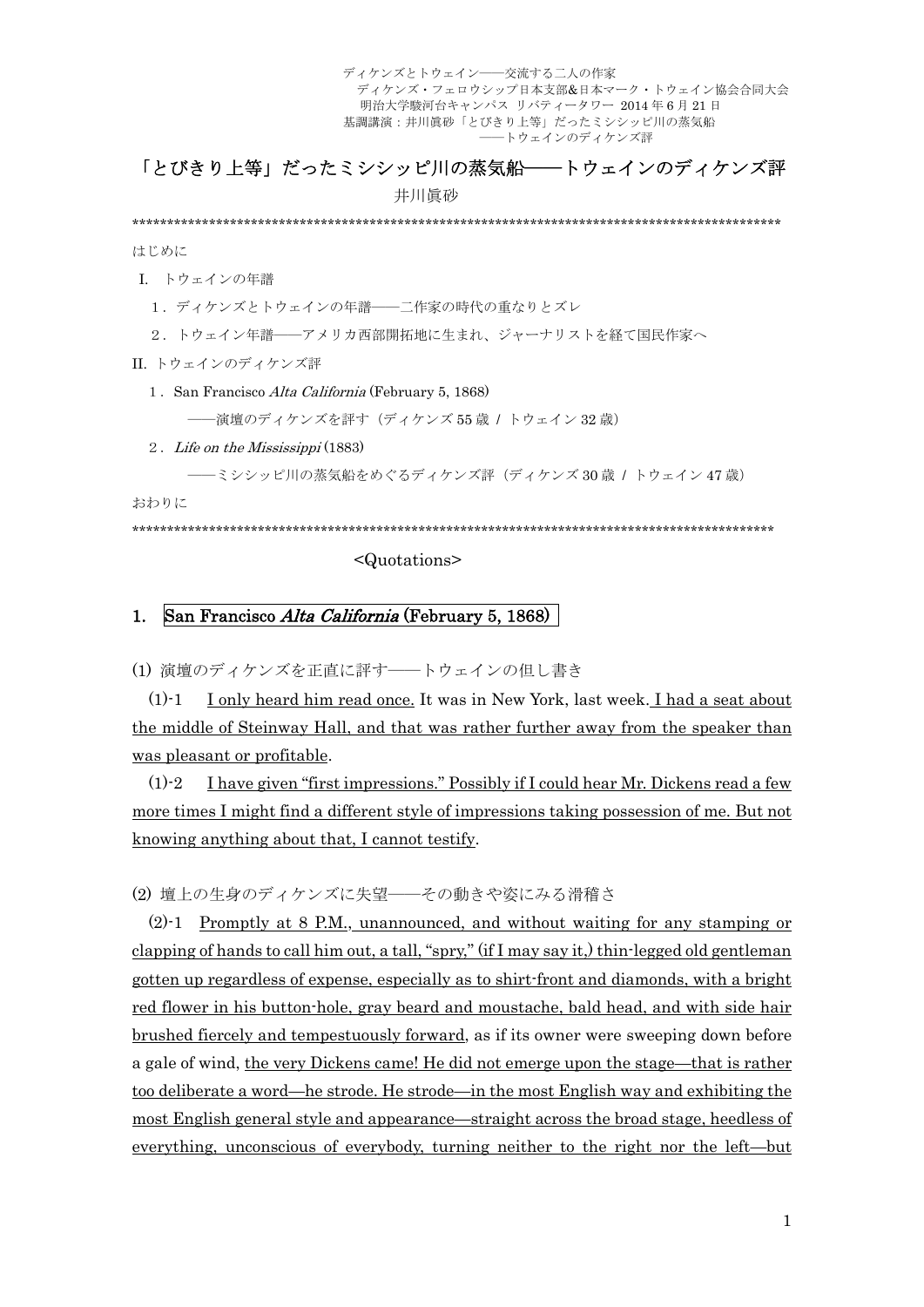# 「とびきり上等」だったミシシッピ川の蒸気船––トウェインのディケンズ評

井川眞砂

\*\*\*\*\*\*\*\*\*\*\*\*\*\*\*\*\*\*\*\*\*\*\*\*\*\*\*\*\*\*\*\*\*\*\*\*\*\*\*\*\*\*\*\*\*\*\*\*\*\*\*\*\*\*\*\*\*\*\*\*\*\*\*\*\*\*\*\*\*\*\*\*\*\*\*\*\*\*\*\*\*\*\*\*\*\*\*\*\*\*\*\*\*

はじめに

I. トウェインの年譜

1.ディケンズとトウェインの年譜――二作家の時代の重なりとズレ

2.トウェイン年譜――アメリカ西部開拓地に生まれ、ジャーナリストを経て国民作家へ

II. トウェインのディケンズ評

1.San Francisco Alta California (February 5, 1868)

――演壇のディケンズを評す(ディケンズ 55 歳 / トウェイン 32 歳)

#### 2.Life on the Mississippi (1883)

――ミシシッピ川の蒸気船をめぐるディケンズ評(ディケンズ 30 歳 / トウェイン 47 歳)

おわりに

\*\*\*\*\*\*\*\*\*\*\*\*\*\*\*\*\*\*\*\*\*\*\*\*\*\*\*\*\*\*\*\*\*\*\*\*\*\*\*\*\*\*\*\*\*\*\*\*\*\*\*\*\*\*\*\*\*\*\*\*\*\*\*\*\*\*\*\*\*\*\*\*\*\*\*\*\*\*\*\*\*\*\*\*\*\*\*\*\*\*\*\*

#### <Quotations>

### 1. San Francisco Alta California (February 5, 1868)

(1) 演壇のディケンズを正直に評す――トウェインの但し書き

 $(1)$ -1 I only heard him read once. It was in New York, last week. I had a seat about the middle of Steinway Hall, and that was rather further away from the speaker than was pleasant or profitable.

(1)-2 I have given "first impressions." Possibly if I could hear Mr. Dickens read a few more times I might find a different style of impressions taking possession of me. But not knowing anything about that, I cannot testify.

(2) 壇上の生身のディケンズに失望――その動きや姿にみる滑稽さ

(2)-1 Promptly at 8 P.M., unannounced, and without waiting for any stamping or clapping of hands to call him out, a tall, "spry," (if I may say it,) thin-legged old gentleman gotten up regardless of expense, especially as to shirt-front and diamonds, with a bright red flower in his button-hole, gray beard and moustache, bald head, and with side hair brushed fiercely and tempestuously forward, as if its owner were sweeping down before a gale of wind, the very Dickens came! He did not emerge upon the stage—that is rather too deliberate a word—he strode. He strode—in the most English way and exhibiting the most English general style and appearance—straight across the broad stage, heedless of everything, unconscious of everybody, turning neither to the right nor the left—but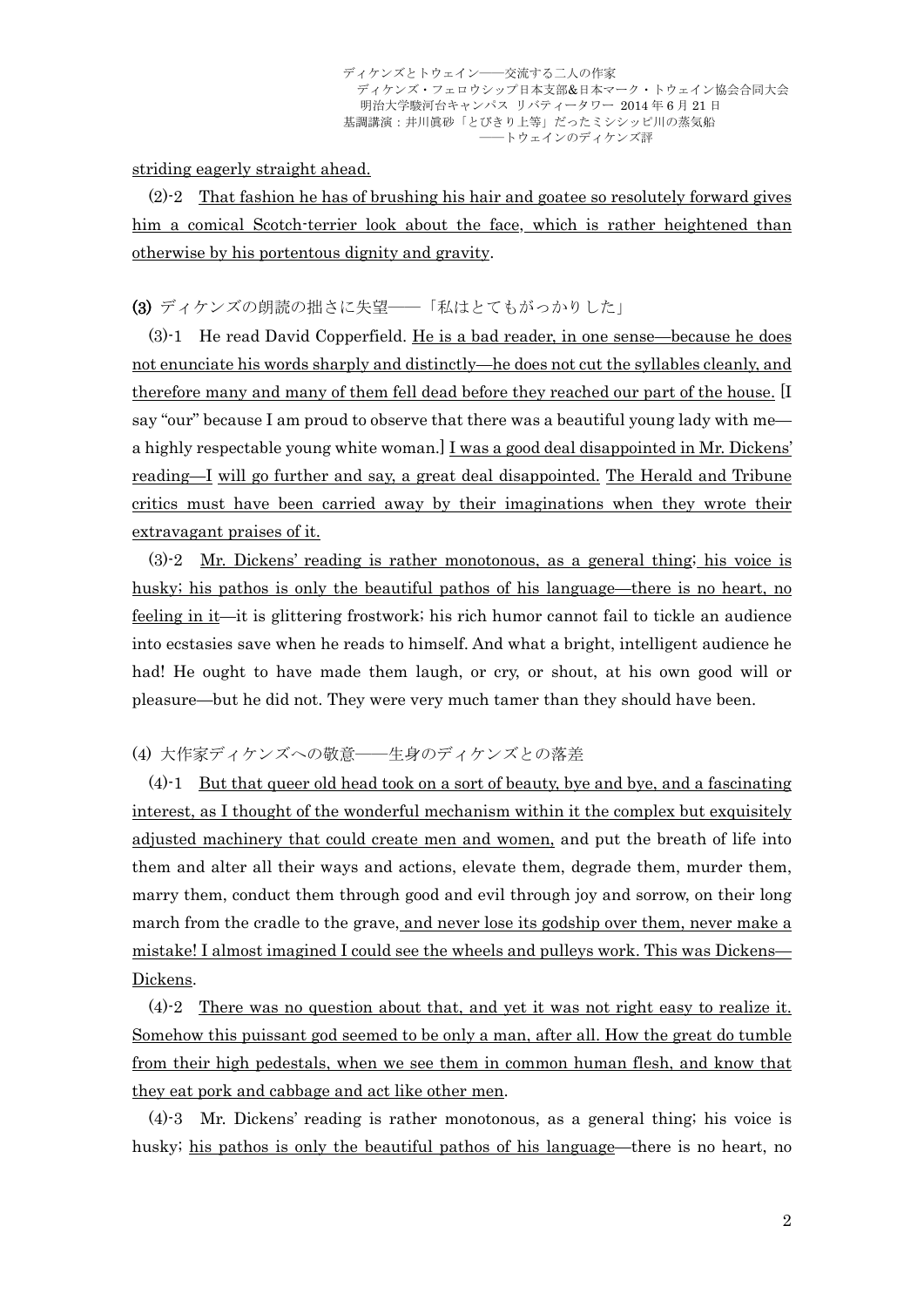striding eagerly straight ahead.

(2)-2 That fashion he has of brushing his hair and goatee so resolutely forward gives him a comical Scotch-terrier look about the face, which is rather heightened than otherwise by his portentous dignity and gravity.

### (3) ディケンズの朗読の拙さに失望――「私はとてもがっかりした」

(3)-1 He read David Copperfield. He is a bad reader, in one sense—because he does not enunciate his words sharply and distinctly—he does not cut the syllables cleanly, and therefore many and many of them fell dead before they reached our part of the house. [I say "our" because I am proud to observe that there was a beautiful young lady with me a highly respectable young white woman.] I was a good deal disappointed in Mr. Dickens' reading—I will go further and say, a great deal disappointed. The Herald and Tribune critics must have been carried away by their imaginations when they wrote their extravagant praises of it.

(3)-2 Mr. Dickens' reading is rather monotonous, as a general thing; his voice is husky; his pathos is only the beautiful pathos of his language—there is no heart, no feeling in it—it is glittering frostwork; his rich humor cannot fail to tickle an audience into ecstasies save when he reads to himself. And what a bright, intelligent audience he had! He ought to have made them laugh, or cry, or shout, at his own good will or pleasure—but he did not. They were very much tamer than they should have been.

### (4) 大作家ディケンズへの敬意――生身のディケンズとの落差

(4)-1 But that queer old head took on a sort of beauty, bye and bye, and a fascinating interest, as I thought of the wonderful mechanism within it the complex but exquisitely adjusted machinery that could create men and women, and put the breath of life into them and alter all their ways and actions, elevate them, degrade them, murder them, marry them, conduct them through good and evil through joy and sorrow, on their long march from the cradle to the grave, and never lose its godship over them, never make a mistake! I almost imagined I could see the wheels and pulleys work. This was Dickens— Dickens.

(4)-2 There was no question about that, and yet it was not right easy to realize it. Somehow this puissant god seemed to be only a man, after all. How the great do tumble from their high pedestals, when we see them in common human flesh, and know that they eat pork and cabbage and act like other men.

(4)-3 Mr. Dickens' reading is rather monotonous, as a general thing; his voice is husky; his pathos is only the beautiful pathos of his language—there is no heart, no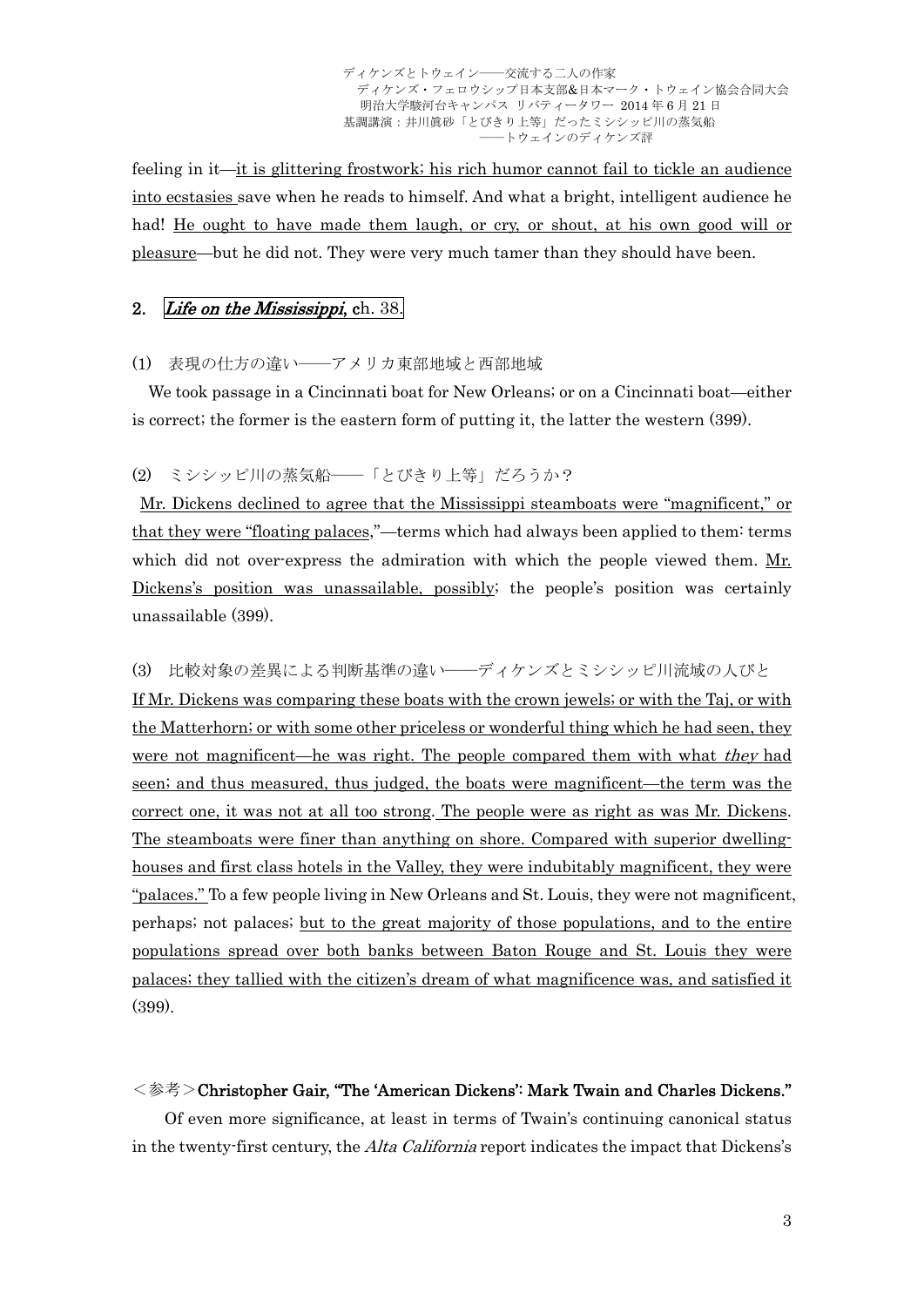feeling in it—it is glittering frostwork; his rich humor cannot fail to tickle an audience into ecstasies save when he reads to himself. And what a bright, intelligent audience he had! He ought to have made them laugh, or cry, or shout, at his own good will or pleasure—but he did not. They were very much tamer than they should have been.

### 2. Life on the Mississippi, ch. 38.

## (1) 表現の仕方の違い――アメリカ東部地域と西部地域

 We took passage in a Cincinnati boat for New Orleans; or on a Cincinnati boat—either is correct; the former is the eastern form of putting it, the latter the western (399).

#### (2) ミシシッピ川の蒸気船――「とびきり上等」だろうか?

 Mr. Dickens declined to agree that the Mississippi steamboats were "magnificent," or that they were "floating palaces,"—terms which had always been applied to them: terms which did not over-express the admiration with which the people viewed them. Mr. Dickens's position was unassailable, possibly; the people's position was certainly unassailable (399).

## (3) 比較対象の差異による判断基準の違い――ディケンズとミシシッピ川流域の人びと

If Mr. Dickens was comparing these boats with the crown jewels; or with the Taj, or with the Matterhorn; or with some other priceless or wonderful thing which he had seen, they were not magnificent—he was right. The people compared them with what they had seen; and thus measured, thus judged, the boats were magnificent—the term was the correct one, it was not at all too strong. The people were as right as was Mr. Dickens. The steamboats were finer than anything on shore. Compared with superior dwellinghouses and first class hotels in the Valley, they were indubitably magnificent, they were "palaces." To a few people living in New Orleans and St. Louis, they were not magnificent, perhaps; not palaces; but to the great majority of those populations, and to the entire populations spread over both banks between Baton Rouge and St. Louis they were palaces; they tallied with the citizen's dream of what magnificence was, and satisfied it (399).

#### <参考>Christopher Gair, "The 'American Dickens': Mark Twain and Charles Dickens."

Of even more significance, at least in terms of Twain's continuing canonical status in the twenty-first century, the *Alta California* report indicates the impact that Dickens's